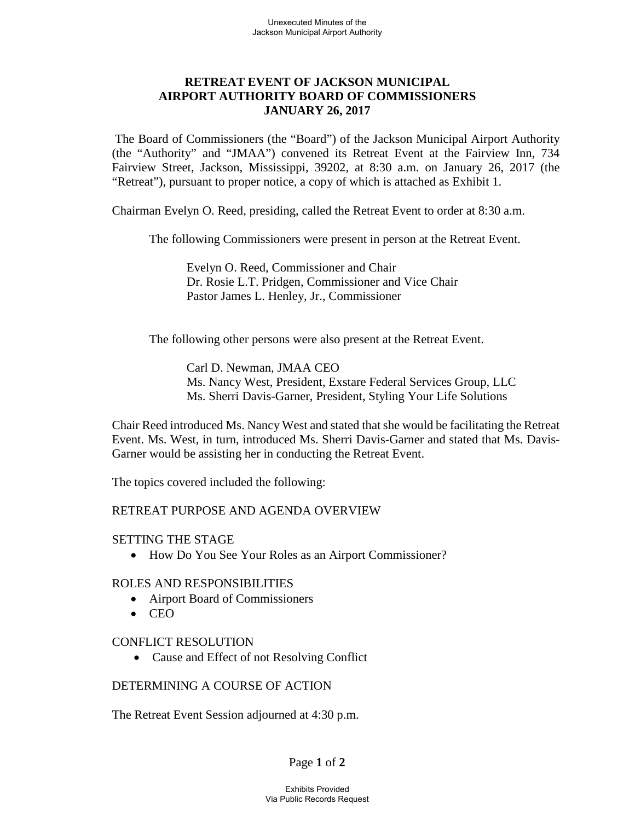# **RETREAT EVENT OF JACKSON MUNICIPAL AIRPORT AUTHORITY BOARD OF COMMISSIONERS JANUARY 26, 2017**

The Board of Commissioners (the "Board") of the Jackson Municipal Airport Authority (the "Authority" and "JMAA") convened its Retreat Event at the Fairview Inn, 734 Fairview Street, Jackson, Mississippi, 39202, at 8:30 a.m. on January 26, 2017 (the "Retreat"), pursuant to proper notice, a copy of which is attached as Exhibit 1.

Chairman Evelyn O. Reed, presiding, called the Retreat Event to order at 8:30 a.m.

The following Commissioners were present in person at the Retreat Event.

Evelyn O. Reed, Commissioner and Chair Dr. Rosie L.T. Pridgen, Commissioner and Vice Chair Pastor James L. Henley, Jr., Commissioner

The following other persons were also present at the Retreat Event.

Carl D. Newman, JMAA CEO Ms. Nancy West, President, Exstare Federal Services Group, LLC Ms. Sherri Davis-Garner, President, Styling Your Life Solutions

Chair Reed introduced Ms. Nancy West and stated that she would be facilitating the Retreat Event. Ms. West, in turn, introduced Ms. Sherri Davis-Garner and stated that Ms. Davis-Garner would be assisting her in conducting the Retreat Event.

The topics covered included the following:

# RETREAT PURPOSE AND AGENDA OVERVIEW

### SETTING THE STAGE

• How Do You See Your Roles as an Airport Commissioner?

### ROLES AND RESPONSIBILITIES

- Airport Board of Commissioners
- CEO

### CONFLICT RESOLUTION

• Cause and Effect of not Resolving Conflict

# DETERMINING A COURSE OF ACTION

The Retreat Event Session adjourned at 4:30 p.m.

# Page **1** of **2**